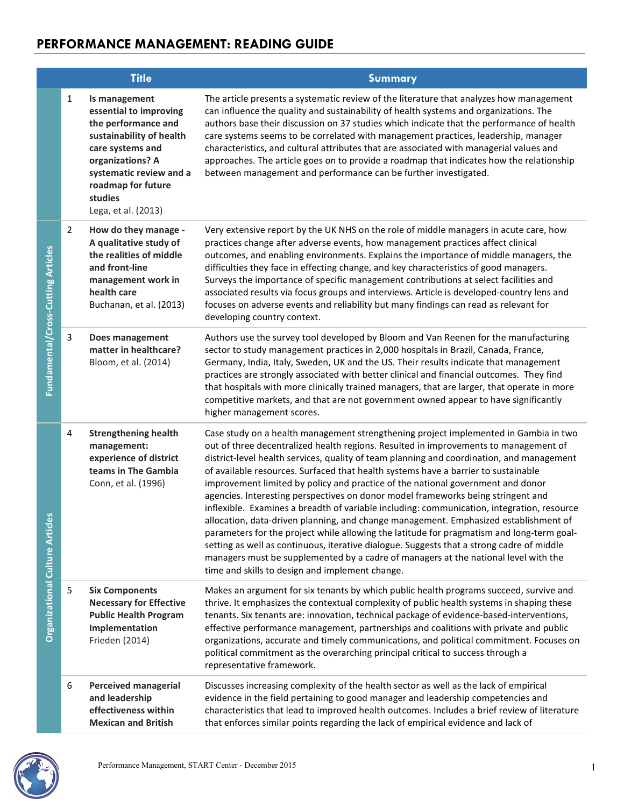|                                           |                | <b>Title</b>                                                                                                                                                                                                          | Summary                                                                                                                                                                                                                                                                                                                                                                                                                                                                                                                                                                                                                                                                                                                                                                                                                                                                                                                                                                                                                                                          |
|-------------------------------------------|----------------|-----------------------------------------------------------------------------------------------------------------------------------------------------------------------------------------------------------------------|------------------------------------------------------------------------------------------------------------------------------------------------------------------------------------------------------------------------------------------------------------------------------------------------------------------------------------------------------------------------------------------------------------------------------------------------------------------------------------------------------------------------------------------------------------------------------------------------------------------------------------------------------------------------------------------------------------------------------------------------------------------------------------------------------------------------------------------------------------------------------------------------------------------------------------------------------------------------------------------------------------------------------------------------------------------|
|                                           | $\mathbf{1}$   | Is management<br>essential to improving<br>the performance and<br>sustainability of health<br>care systems and<br>organizations? A<br>systematic review and a<br>roadmap for future<br>studies<br>Lega, et al. (2013) | The article presents a systematic review of the literature that analyzes how management<br>can influence the quality and sustainability of health systems and organizations. The<br>authors base their discussion on 37 studies which indicate that the performance of health<br>care systems seems to be correlated with management practices, leadership, manager<br>characteristics, and cultural attributes that are associated with managerial values and<br>approaches. The article goes on to provide a roadmap that indicates how the relationship<br>between management and performance can be further investigated.                                                                                                                                                                                                                                                                                                                                                                                                                                    |
| Fundamental/Cross-Cutting Articles        | $\overline{2}$ | How do they manage -<br>A qualitative study of<br>the realities of middle<br>and front-line<br>management work in<br>health care<br>Buchanan, et al. (2013)                                                           | Very extensive report by the UK NHS on the role of middle managers in acute care, how<br>practices change after adverse events, how management practices affect clinical<br>outcomes, and enabling environments. Explains the importance of middle managers, the<br>difficulties they face in effecting change, and key characteristics of good managers.<br>Surveys the importance of specific management contributions at select facilities and<br>associated results via focus groups and interviews. Article is developed-country lens and<br>focuses on adverse events and reliability but many findings can read as relevant for<br>developing country context.                                                                                                                                                                                                                                                                                                                                                                                            |
|                                           | 3              | Does management<br>matter in healthcare?<br>Bloom, et al. (2014)                                                                                                                                                      | Authors use the survey tool developed by Bloom and Van Reenen for the manufacturing<br>sector to study management practices in 2,000 hospitals in Brazil, Canada, France,<br>Germany, India, Italy, Sweden, UK and the US. Their results indicate that management<br>practices are strongly associated with better clinical and financial outcomes. They find<br>that hospitals with more clinically trained managers, that are larger, that operate in more<br>competitive markets, and that are not government owned appear to have significantly<br>higher management scores.                                                                                                                                                                                                                                                                                                                                                                                                                                                                                 |
| 8<br><b>Organizational Culture Articl</b> | 4              | <b>Strengthening health</b><br>management:<br>experience of district<br>teams in The Gambia<br>Conn, et al. (1996)                                                                                                    | Case study on a health management strengthening project implemented in Gambia in two<br>out of three decentralized health regions. Resulted in improvements to management of<br>district-level health services, quality of team planning and coordination, and management<br>of available resources. Surfaced that health systems have a barrier to sustainable<br>improvement limited by policy and practice of the national government and donor<br>agencies. Interesting perspectives on donor model frameworks being stringent and<br>inflexible. Examines a breadth of variable including: communication, integration, resource<br>allocation, data-driven planning, and change management. Emphasized establishment of<br>parameters for the project while allowing the latitude for pragmatism and long-term goal-<br>setting as well as continuous, iterative dialogue. Suggests that a strong cadre of middle<br>managers must be supplemented by a cadre of managers at the national level with the<br>time and skills to design and implement change. |
|                                           | 5              | <b>Six Components</b><br><b>Necessary for Effective</b><br><b>Public Health Program</b><br>Implementation<br>Frieden (2014)                                                                                           | Makes an argument for six tenants by which public health programs succeed, survive and<br>thrive. It emphasizes the contextual complexity of public health systems in shaping these<br>tenants. Six tenants are: innovation, technical package of evidence-based-interventions,<br>effective performance management, partnerships and coalitions with private and public<br>organizations, accurate and timely communications, and political commitment. Focuses on<br>political commitment as the overarching principal critical to success through a<br>representative framework.                                                                                                                                                                                                                                                                                                                                                                                                                                                                              |
|                                           | 6              | <b>Perceived managerial</b><br>and leadership<br>effectiveness within<br><b>Mexican and British</b>                                                                                                                   | Discusses increasing complexity of the health sector as well as the lack of empirical<br>evidence in the field pertaining to good manager and leadership competencies and<br>characteristics that lead to improved health outcomes. Includes a brief review of literature<br>that enforces similar points regarding the lack of empirical evidence and lack of                                                                                                                                                                                                                                                                                                                                                                                                                                                                                                                                                                                                                                                                                                   |

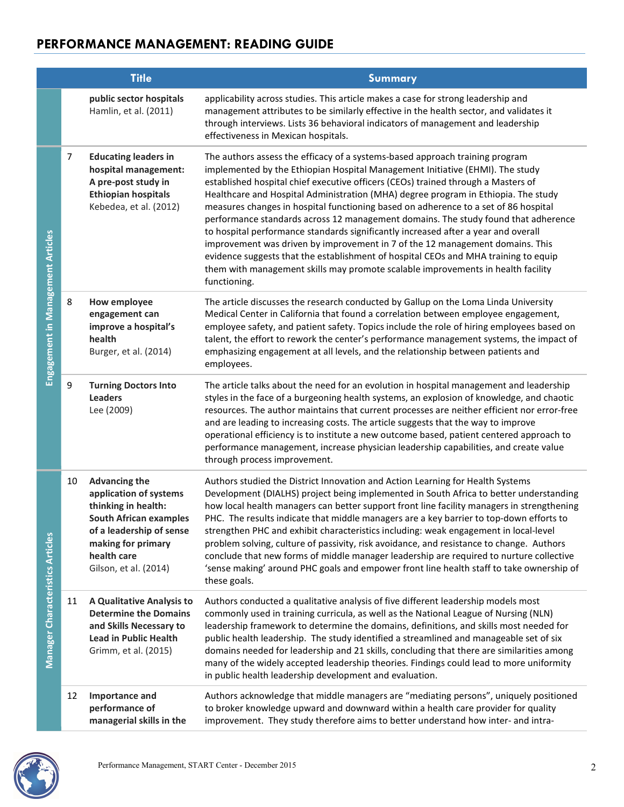|                                         |    | <b>Title</b>                                                                                                                                                                                     | Summary                                                                                                                                                                                                                                                                                                                                                                                                                                                                                                                                                                                                                                                                                                                                                                                                                                                                                 |
|-----------------------------------------|----|--------------------------------------------------------------------------------------------------------------------------------------------------------------------------------------------------|-----------------------------------------------------------------------------------------------------------------------------------------------------------------------------------------------------------------------------------------------------------------------------------------------------------------------------------------------------------------------------------------------------------------------------------------------------------------------------------------------------------------------------------------------------------------------------------------------------------------------------------------------------------------------------------------------------------------------------------------------------------------------------------------------------------------------------------------------------------------------------------------|
|                                         |    | public sector hospitals<br>Hamlin, et al. (2011)                                                                                                                                                 | applicability across studies. This article makes a case for strong leadership and<br>management attributes to be similarly effective in the health sector, and validates it<br>through interviews. Lists 36 behavioral indicators of management and leadership<br>effectiveness in Mexican hospitals.                                                                                                                                                                                                                                                                                                                                                                                                                                                                                                                                                                                   |
| Engagement in Management Articles       | 7  | <b>Educating leaders in</b><br>hospital management:<br>A pre-post study in<br><b>Ethiopian hospitals</b><br>Kebedea, et al. (2012)                                                               | The authors assess the efficacy of a systems-based approach training program<br>implemented by the Ethiopian Hospital Management Initiative (EHMI). The study<br>established hospital chief executive officers (CEOs) trained through a Masters of<br>Healthcare and Hospital Administration (MHA) degree program in Ethiopia. The study<br>measures changes in hospital functioning based on adherence to a set of 86 hospital<br>performance standards across 12 management domains. The study found that adherence<br>to hospital performance standards significantly increased after a year and overall<br>improvement was driven by improvement in 7 of the 12 management domains. This<br>evidence suggests that the establishment of hospital CEOs and MHA training to equip<br>them with management skills may promote scalable improvements in health facility<br>functioning. |
|                                         | 8  | <b>How employee</b><br>engagement can<br>improve a hospital's<br>health<br>Burger, et al. (2014)                                                                                                 | The article discusses the research conducted by Gallup on the Loma Linda University<br>Medical Center in California that found a correlation between employee engagement,<br>employee safety, and patient safety. Topics include the role of hiring employees based on<br>talent, the effort to rework the center's performance management systems, the impact of<br>emphasizing engagement at all levels, and the relationship between patients and<br>employees.                                                                                                                                                                                                                                                                                                                                                                                                                      |
|                                         | 9  | <b>Turning Doctors Into</b><br><b>Leaders</b><br>Lee (2009)                                                                                                                                      | The article talks about the need for an evolution in hospital management and leadership<br>styles in the face of a burgeoning health systems, an explosion of knowledge, and chaotic<br>resources. The author maintains that current processes are neither efficient nor error-free<br>and are leading to increasing costs. The article suggests that the way to improve<br>operational efficiency is to institute a new outcome based, patient centered approach to<br>performance management, increase physician leadership capabilities, and create value<br>through process improvement.                                                                                                                                                                                                                                                                                            |
| <b>Manager Characteristics Articles</b> | 10 | <b>Advancing the</b><br>application of systems<br>thinking in health:<br><b>South African examples</b><br>of a leadership of sense<br>making for primary<br>health care<br>Gilson, et al. (2014) | Authors studied the District Innovation and Action Learning for Health Systems<br>Development (DIALHS) project being implemented in South Africa to better understanding<br>how local health managers can better support front line facility managers in strengthening<br>PHC. The results indicate that middle managers are a key barrier to top-down efforts to<br>strengthen PHC and exhibit characteristics including: weak engagement in local-level<br>problem solving, culture of passivity, risk avoidance, and resistance to change. Authors<br>conclude that new forms of middle manager leadership are required to nurture collective<br>'sense making' around PHC goals and empower front line health staff to take ownership of<br>these goals.                                                                                                                            |
|                                         | 11 | A Qualitative Analysis to<br><b>Determine the Domains</b><br>and Skills Necessary to<br><b>Lead in Public Health</b><br>Grimm, et al. (2015)                                                     | Authors conducted a qualitative analysis of five different leadership models most<br>commonly used in training curricula, as well as the National League of Nursing (NLN)<br>leadership framework to determine the domains, definitions, and skills most needed for<br>public health leadership. The study identified a streamlined and manageable set of six<br>domains needed for leadership and 21 skills, concluding that there are similarities among<br>many of the widely accepted leadership theories. Findings could lead to more uniformity<br>in public health leadership development and evaluation.                                                                                                                                                                                                                                                                        |
|                                         | 12 | Importance and<br>performance of<br>managerial skills in the                                                                                                                                     | Authors acknowledge that middle managers are "mediating persons", uniquely positioned<br>to broker knowledge upward and downward within a health care provider for quality<br>improvement. They study therefore aims to better understand how inter- and intra-                                                                                                                                                                                                                                                                                                                                                                                                                                                                                                                                                                                                                         |

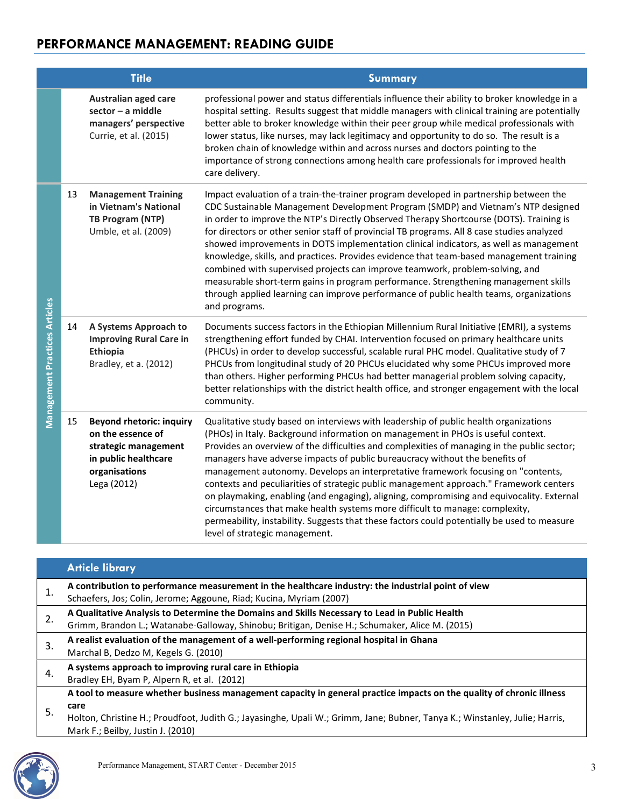|                                      |    | <b>Title</b>                                                                                                                         | <b>Summary</b>                                                                                                                                                                                                                                                                                                                                                                                                                                                                                                                                                                                                                                                                                                                                                                                                                                     |
|--------------------------------------|----|--------------------------------------------------------------------------------------------------------------------------------------|----------------------------------------------------------------------------------------------------------------------------------------------------------------------------------------------------------------------------------------------------------------------------------------------------------------------------------------------------------------------------------------------------------------------------------------------------------------------------------------------------------------------------------------------------------------------------------------------------------------------------------------------------------------------------------------------------------------------------------------------------------------------------------------------------------------------------------------------------|
|                                      |    | Australian aged care<br>sector - a middle<br>managers' perspective<br>Currie, et al. (2015)                                          | professional power and status differentials influence their ability to broker knowledge in a<br>hospital setting. Results suggest that middle managers with clinical training are potentially<br>better able to broker knowledge within their peer group while medical professionals with<br>lower status, like nurses, may lack legitimacy and opportunity to do so. The result is a<br>broken chain of knowledge within and across nurses and doctors pointing to the<br>importance of strong connections among health care professionals for improved health<br>care delivery.                                                                                                                                                                                                                                                                  |
| <b>Management Practices Articles</b> | 13 | <b>Management Training</b><br>in Vietnam's National<br>TB Program (NTP)<br>Umble, et al. (2009)                                      | Impact evaluation of a train-the-trainer program developed in partnership between the<br>CDC Sustainable Management Development Program (SMDP) and Vietnam's NTP designed<br>in order to improve the NTP's Directly Observed Therapy Shortcourse (DOTS). Training is<br>for directors or other senior staff of provincial TB programs. All 8 case studies analyzed<br>showed improvements in DOTS implementation clinical indicators, as well as management<br>knowledge, skills, and practices. Provides evidence that team-based management training<br>combined with supervised projects can improve teamwork, problem-solving, and<br>measurable short-term gains in program performance. Strengthening management skills<br>through applied learning can improve performance of public health teams, organizations<br>and programs.           |
|                                      | 14 | A Systems Approach to<br><b>Improving Rural Care in</b><br>Ethiopia<br>Bradley, et a. (2012)                                         | Documents success factors in the Ethiopian Millennium Rural Initiative (EMRI), a systems<br>strengthening effort funded by CHAI. Intervention focused on primary healthcare units<br>(PHCUs) in order to develop successful, scalable rural PHC model. Qualitative study of 7<br>PHCUs from longitudinal study of 20 PHCUs elucidated why some PHCUs improved more<br>than others. Higher performing PHCUs had better managerial problem solving capacity,<br>better relationships with the district health office, and stronger engagement with the local<br>community.                                                                                                                                                                                                                                                                           |
|                                      | 15 | <b>Beyond rhetoric: inquiry</b><br>on the essence of<br>strategic management<br>in public healthcare<br>organisations<br>Lega (2012) | Qualitative study based on interviews with leadership of public health organizations<br>(PHOs) in Italy. Background information on management in PHOs is useful context.<br>Provides an overview of the difficulties and complexities of managing in the public sector;<br>managers have adverse impacts of public bureaucracy without the benefits of<br>management autonomy. Develops an interpretative framework focusing on "contents,<br>contexts and peculiarities of strategic public management approach." Framework centers<br>on playmaking, enabling (and engaging), aligning, compromising and equivocality. External<br>circumstances that make health systems more difficult to manage: complexity,<br>permeability, instability. Suggests that these factors could potentially be used to measure<br>level of strategic management. |

### Article library

| 1. | A contribution to performance measurement in the healthcare industry: the industrial point of view<br>Schaefers, Jos; Colin, Jerome; Aggoune, Riad; Kucina, Myriam (2007)                                                                                                                        |
|----|--------------------------------------------------------------------------------------------------------------------------------------------------------------------------------------------------------------------------------------------------------------------------------------------------|
| 2. | A Qualitative Analysis to Determine the Domains and Skills Necessary to Lead in Public Health<br>Grimm, Brandon L.; Watanabe-Galloway, Shinobu; Britigan, Denise H.; Schumaker, Alice M. (2015)                                                                                                  |
| 3. | A realist evaluation of the management of a well-performing regional hospital in Ghana<br>Marchal B, Dedzo M, Kegels G. (2010)                                                                                                                                                                   |
| 4. | A systems approach to improving rural care in Ethiopia<br>Bradley EH, Byam P, Alpern R, et al. (2012)                                                                                                                                                                                            |
| 5. | A tool to measure whether business management capacity in general practice impacts on the quality of chronic illness<br>care<br>Holton, Christine H.; Proudfoot, Judith G.; Jayasinghe, Upali W.; Grimm, Jane; Bubner, Tanya K.; Winstanley, Julie; Harris,<br>Mark F.; Beilby, Justin J. (2010) |

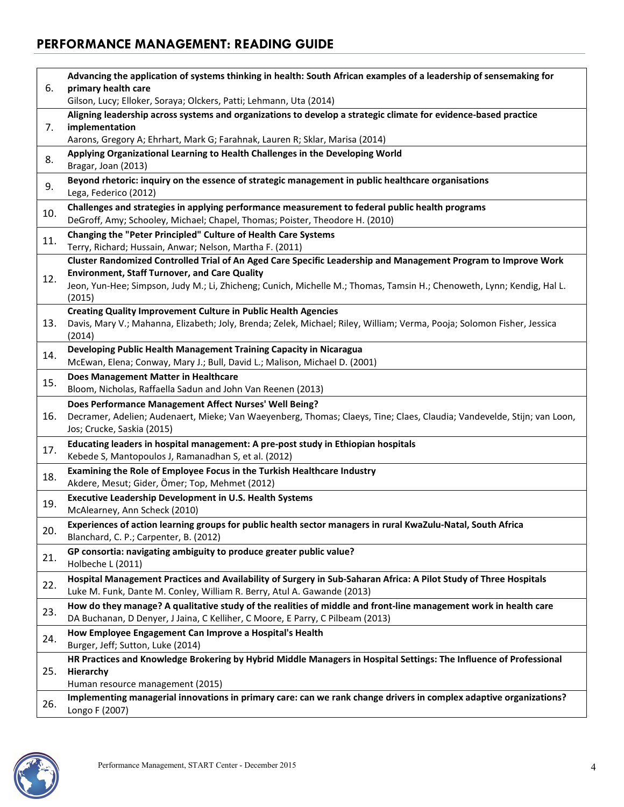| 6.  | Advancing the application of systems thinking in health: South African examples of a leadership of sensemaking for                                                              |
|-----|---------------------------------------------------------------------------------------------------------------------------------------------------------------------------------|
|     | primary health care<br>Gilson, Lucy; Elloker, Soraya; Olckers, Patti; Lehmann, Uta (2014)                                                                                       |
|     | Aligning leadership across systems and organizations to develop a strategic climate for evidence-based practice                                                                 |
| 7.  | implementation                                                                                                                                                                  |
|     | Aarons, Gregory A; Ehrhart, Mark G; Farahnak, Lauren R; Sklar, Marisa (2014)                                                                                                    |
| 8.  | Applying Organizational Learning to Health Challenges in the Developing World<br>Bragar, Joan (2013)                                                                            |
| 9.  | Beyond rhetoric: inquiry on the essence of strategic management in public healthcare organisations<br>Lega, Federico (2012)                                                     |
| 10. | Challenges and strategies in applying performance measurement to federal public health programs<br>DeGroff, Amy; Schooley, Michael; Chapel, Thomas; Poister, Theodore H. (2010) |
| 11. | Changing the "Peter Principled" Culture of Health Care Systems<br>Terry, Richard; Hussain, Anwar; Nelson, Martha F. (2011)                                                      |
|     | Cluster Randomized Controlled Trial of An Aged Care Specific Leadership and Management Program to Improve Work                                                                  |
| 12. | <b>Environment, Staff Turnover, and Care Quality</b>                                                                                                                            |
|     | Jeon, Yun-Hee; Simpson, Judy M.; Li, Zhicheng; Cunich, Michelle M.; Thomas, Tamsin H.; Chenoweth, Lynn; Kendig, Hal L.<br>(2015)                                                |
|     | <b>Creating Quality Improvement Culture in Public Health Agencies</b>                                                                                                           |
| 13. | Davis, Mary V.; Mahanna, Elizabeth; Joly, Brenda; Zelek, Michael; Riley, William; Verma, Pooja; Solomon Fisher, Jessica<br>(2014)                                               |
| 14. | Developing Public Health Management Training Capacity in Nicaragua                                                                                                              |
|     | McEwan, Elena; Conway, Mary J.; Bull, David L.; Malison, Michael D. (2001)                                                                                                      |
| 15. | Does Management Matter in Healthcare                                                                                                                                            |
|     | Bloom, Nicholas, Raffaella Sadun and John Van Reenen (2013)                                                                                                                     |
|     | Does Performance Management Affect Nurses' Well Being?                                                                                                                          |
| 16. | Decramer, Adelien; Audenaert, Mieke; Van Waeyenberg, Thomas; Claeys, Tine; Claes, Claudia; Vandevelde, Stijn; van Loon,<br>Jos; Crucke, Saskia (2015)                           |
|     | Educating leaders in hospital management: A pre-post study in Ethiopian hospitals                                                                                               |
| 17. | Kebede S, Mantopoulos J, Ramanadhan S, et al. (2012)                                                                                                                            |
|     | Examining the Role of Employee Focus in the Turkish Healthcare Industry                                                                                                         |
| 18. | Akdere, Mesut; Gider, Ömer; Top, Mehmet (2012)                                                                                                                                  |
|     | <b>Executive Leadership Development in U.S. Health Systems</b>                                                                                                                  |
| 19. | McAlearney, Ann Scheck (2010)                                                                                                                                                   |
|     | Experiences of action learning groups for public health sector managers in rural KwaZulu-Natal, South Africa                                                                    |
| 20. | Blanchard, C. P.; Carpenter, B. (2012)                                                                                                                                          |
|     | GP consortia: navigating ambiguity to produce greater public value?                                                                                                             |
| 21. | Holbeche L (2011)                                                                                                                                                               |
| 22. | Hospital Management Practices and Availability of Surgery in Sub-Saharan Africa: A Pilot Study of Three Hospitals                                                               |
|     | Luke M. Funk, Dante M. Conley, William R. Berry, Atul A. Gawande (2013)                                                                                                         |
| 23. | How do they manage? A qualitative study of the realities of middle and front-line management work in health care                                                                |
|     | DA Buchanan, D Denyer, J Jaina, C Kelliher, C Moore, E Parry, C Pilbeam (2013)                                                                                                  |
| 24. | How Employee Engagement Can Improve a Hospital's Health                                                                                                                         |
|     | Burger, Jeff; Sutton, Luke (2014)                                                                                                                                               |
| 25. | HR Practices and Knowledge Brokering by Hybrid Middle Managers in Hospital Settings: The Influence of Professional<br>Hierarchy                                                 |
|     | Human resource management (2015)                                                                                                                                                |
|     | Implementing managerial innovations in primary care: can we rank change drivers in complex adaptive organizations?                                                              |
| 26. | Longo F (2007)                                                                                                                                                                  |

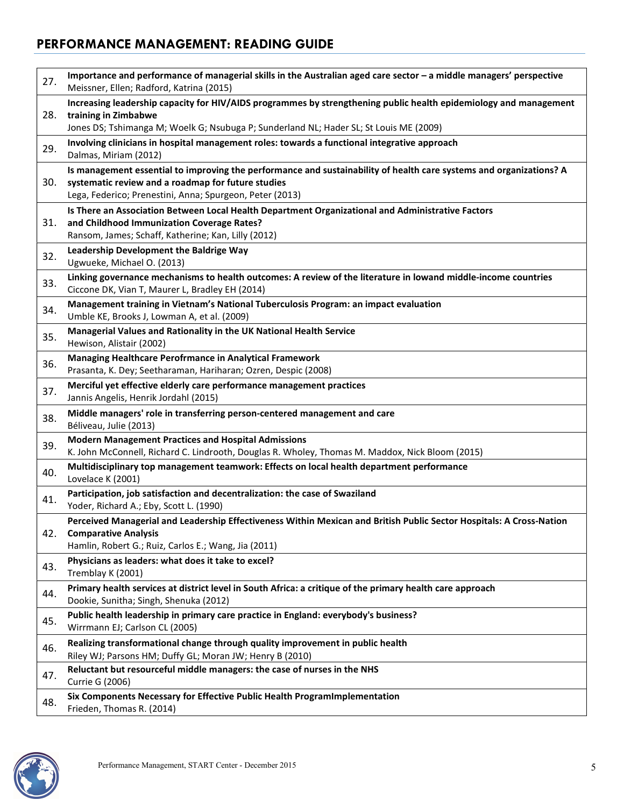| 27. | Importance and performance of managerial skills in the Australian aged care sector - a middle managers' perspective<br>Meissner, Ellen; Radford, Katrina (2015)                                                                       |
|-----|---------------------------------------------------------------------------------------------------------------------------------------------------------------------------------------------------------------------------------------|
| 28. | Increasing leadership capacity for HIV/AIDS programmes by strengthening public health epidemiology and management<br>training in Zimbabwe<br>Jones DS; Tshimanga M; Woelk G; Nsubuga P; Sunderland NL; Hader SL; St Louis ME (2009)   |
| 29. | Involving clinicians in hospital management roles: towards a functional integrative approach<br>Dalmas, Miriam (2012)                                                                                                                 |
| 30. | Is management essential to improving the performance and sustainability of health care systems and organizations? A<br>systematic review and a roadmap for future studies<br>Lega, Federico; Prenestini, Anna; Spurgeon, Peter (2013) |
| 31. | Is There an Association Between Local Health Department Organizational and Administrative Factors<br>and Childhood Immunization Coverage Rates?<br>Ransom, James; Schaff, Katherine; Kan, Lilly (2012)                                |
| 32. | Leadership Development the Baldrige Way<br>Ugwueke, Michael O. (2013)                                                                                                                                                                 |
| 33. | Linking governance mechanisms to health outcomes: A review of the literature in lowand middle-income countries<br>Ciccone DK, Vian T, Maurer L, Bradley EH (2014)                                                                     |
| 34. | Management training in Vietnam's National Tuberculosis Program: an impact evaluation<br>Umble KE, Brooks J, Lowman A, et al. (2009)                                                                                                   |
| 35. | Managerial Values and Rationality in the UK National Health Service<br>Hewison, Alistair (2002)                                                                                                                                       |
| 36. | Managing Healthcare Perofrmance in Analytical Framework<br>Prasanta, K. Dey; Seetharaman, Hariharan; Ozren, Despic (2008)                                                                                                             |
| 37. | Merciful yet effective elderly care performance management practices<br>Jannis Angelis, Henrik Jordahl (2015)                                                                                                                         |
| 38. | Middle managers' role in transferring person-centered management and care<br>Béliveau, Julie (2013)                                                                                                                                   |
| 39. | <b>Modern Management Practices and Hospital Admissions</b><br>K. John McConnell, Richard C. Lindrooth, Douglas R. Wholey, Thomas M. Maddox, Nick Bloom (2015)                                                                         |
| 40. | Multidisciplinary top management teamwork: Effects on local health department performance<br>Lovelace K (2001)                                                                                                                        |
| 41. | Participation, job satisfaction and decentralization: the case of Swaziland<br>Yoder, Richard A.; Eby, Scott L. (1990)                                                                                                                |
| 42. | Perceived Managerial and Leadership Effectiveness Within Mexican and British Public Sector Hospitals: A Cross-Nation<br><b>Comparative Analysis</b><br>Hamlin, Robert G.; Ruiz, Carlos E.; Wang, Jia (2011)                           |
| 43. | Physicians as leaders: what does it take to excel?<br>Tremblay K (2001)                                                                                                                                                               |
| 44. | Primary health services at district level in South Africa: a critique of the primary health care approach<br>Dookie, Sunitha; Singh, Shenuka (2012)                                                                                   |
| 45. | Public health leadership in primary care practice in England: everybody's business?<br>Wirrmann EJ; Carlson CL (2005)                                                                                                                 |
| 46. | Realizing transformational change through quality improvement in public health<br>Riley WJ; Parsons HM; Duffy GL; Moran JW; Henry B (2010)                                                                                            |
| 47. | Reluctant but resourceful middle managers: the case of nurses in the NHS<br><b>Currie G (2006)</b>                                                                                                                                    |
| 48. | Six Components Necessary for Effective Public Health ProgramImplementation<br>Frieden, Thomas R. (2014)                                                                                                                               |